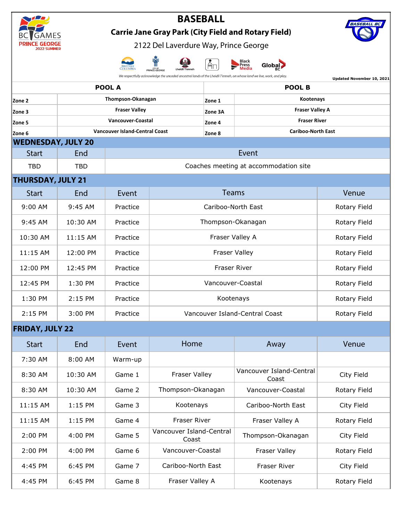| AMES                                                                                                                                                                                  |                                                                                               |                                                            |                                       |              |                                                |              |  |  |  |  |  |
|---------------------------------------------------------------------------------------------------------------------------------------------------------------------------------------|-----------------------------------------------------------------------------------------------|------------------------------------------------------------|---------------------------------------|--------------|------------------------------------------------|--------------|--|--|--|--|--|
|                                                                                                                                                                                       |                                                                                               | <b>Carrie Jane Gray Park (City Field and Rotary Field)</b> |                                       |              |                                                |              |  |  |  |  |  |
|                                                                                                                                                                                       |                                                                                               |                                                            | 2122 Del Laverdure Way, Prince George |              |                                                |              |  |  |  |  |  |
|                                                                                                                                                                                       |                                                                                               |                                                            | CITY OF<br>PRINCE GEORGE              |              | Black<br>Press<br>Global <sub>2</sub><br>Media |              |  |  |  |  |  |
| We respectfully acknowledge the unceded ancestral lands of the Lheidli T'enneh, on whose land we live, work, and play.<br>Updated November 10, 2021<br><b>POOL A</b><br><b>POOL B</b> |                                                                                               |                                                            |                                       |              |                                                |              |  |  |  |  |  |
| Thompson-Okanagan<br>Zone 2                                                                                                                                                           |                                                                                               |                                                            |                                       | Zone 1       | Kootenays                                      |              |  |  |  |  |  |
| Zone 3                                                                                                                                                                                | <b>Fraser Valley</b>                                                                          |                                                            |                                       | Zone 3A      | <b>Fraser Valley A</b>                         |              |  |  |  |  |  |
| Zone 5                                                                                                                                                                                | Vancouver-Coastal                                                                             |                                                            |                                       | Zone 4       | <b>Fraser River</b>                            |              |  |  |  |  |  |
| Zone 6                                                                                                                                                                                |                                                                                               | <b>Vancouver Island-Central Coast</b>                      |                                       | Zone 8       | <b>Cariboo-North East</b>                      |              |  |  |  |  |  |
| <b>WEDNESDAY, JULY 20</b>                                                                                                                                                             |                                                                                               |                                                            |                                       |              |                                                |              |  |  |  |  |  |
| <b>Start</b>                                                                                                                                                                          | End                                                                                           | Event                                                      |                                       |              |                                                |              |  |  |  |  |  |
|                                                                                                                                                                                       | <b>TBD</b><br>Coaches meeting at accommodation site<br><b>TBD</b><br><b>THURSDAY, JULY 21</b> |                                                            |                                       |              |                                                |              |  |  |  |  |  |
| <b>Start</b>                                                                                                                                                                          | End                                                                                           | Event                                                      |                                       | Venue        |                                                |              |  |  |  |  |  |
|                                                                                                                                                                                       |                                                                                               |                                                            |                                       |              |                                                |              |  |  |  |  |  |
| 9:00 AM                                                                                                                                                                               | 9:45 AM                                                                                       | Practice                                                   | Cariboo-North East                    | Rotary Field |                                                |              |  |  |  |  |  |
| 9:45 AM                                                                                                                                                                               | 10:30 AM                                                                                      | Practice                                                   | Thompson-Okanagan                     | Rotary Field |                                                |              |  |  |  |  |  |
| 10:30 AM                                                                                                                                                                              | 11:15 AM                                                                                      | Practice                                                   | Fraser Valley A                       | Rotary Field |                                                |              |  |  |  |  |  |
| 11:15 AM                                                                                                                                                                              | 12:00 PM                                                                                      | Practice                                                   |                                       | Rotary Field |                                                |              |  |  |  |  |  |
| 12:00 PM                                                                                                                                                                              | 12:45 PM                                                                                      | Practice                                                   |                                       | Rotary Field |                                                |              |  |  |  |  |  |
| 12:45 PM                                                                                                                                                                              | 1:30 PM                                                                                       | Practice                                                   | Vancouver-Coastal                     |              |                                                | Rotary Field |  |  |  |  |  |
| 1:30 PM                                                                                                                                                                               | 2:15 PM                                                                                       | Practice                                                   | Kootenays                             |              |                                                | Rotary Field |  |  |  |  |  |
| 2:15 PM                                                                                                                                                                               | 3:00 PM                                                                                       | Practice                                                   | Vancouver Island-Central Coast        | Rotary Field |                                                |              |  |  |  |  |  |
| <b>FRIDAY, JULY 22</b>                                                                                                                                                                |                                                                                               |                                                            |                                       |              |                                                |              |  |  |  |  |  |
| <b>Start</b>                                                                                                                                                                          | End                                                                                           | Event                                                      | Home                                  |              | Away                                           | Venue        |  |  |  |  |  |
| 7:30 AM                                                                                                                                                                               | 8:00 AM                                                                                       | Warm-up                                                    |                                       |              |                                                |              |  |  |  |  |  |
| 8:30 AM                                                                                                                                                                               | 10:30 AM                                                                                      | Game 1                                                     | Fraser Valley                         |              | Vancouver Island-Central<br>Coast              | City Field   |  |  |  |  |  |
| 8:30 AM                                                                                                                                                                               | 10:30 AM                                                                                      | Game 2                                                     | Thompson-Okanagan                     |              | Vancouver-Coastal                              | Rotary Field |  |  |  |  |  |
| 11:15 AM                                                                                                                                                                              | 1:15 PM                                                                                       | Game 3                                                     | Kootenays                             |              | Cariboo-North East                             | City Field   |  |  |  |  |  |
| 11:15 AM                                                                                                                                                                              | 1:15 PM                                                                                       | Game 4                                                     | Fraser River                          |              | Fraser Valley A                                | Rotary Field |  |  |  |  |  |
| 2:00 PM                                                                                                                                                                               | 4:00 PM                                                                                       | Game 5                                                     | Vancouver Island-Central<br>Coast     |              | Thompson-Okanagan                              | City Field   |  |  |  |  |  |
| 2:00 PM                                                                                                                                                                               | 4:00 PM                                                                                       | Game 6                                                     | Vancouver-Coastal                     |              | Fraser Valley                                  | Rotary Field |  |  |  |  |  |
| 4:45 PM                                                                                                                                                                               | 6:45 PM                                                                                       | Game 7                                                     | Cariboo-North East                    |              | Fraser River                                   | City Field   |  |  |  |  |  |

4:45 PM | 6:45 PM | Game 8 | Fraser Valley A | Kootenays Rotary Field